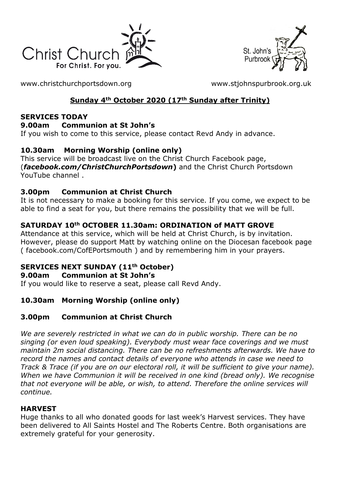



[www.christchurchportsdown.org](http://www.christchurchportsdown.org/) [www.stjohnspurbrook.org.uk](http://www.stjohnspurbrook.org.uk/)

# **Sunday 4th October 2020 (17th Sunday after Trinity)**

### **SERVICES TODAY**

### **9.00am Communion at St John's**

If you wish to come to this service, please contact Revd Andy in advance.

## **10.30am Morning Worship (online only)**

This service will be broadcast live on the Christ Church Facebook page, (*[facebook.com/ChristChurchPortsdown](http://www.facebook.com/ChristChurchPortsdown%20at%2010.30)***)** and the Christ Church Portsdown [YouTube channel](http://www.facebook.com/ChristChurchPortsdown%20at%2010.30) .

## **3.00pm Communion at Christ Church**

It is not necessary to make a booking for this service. If you come, we expect to be able to find a seat for you, but there remains the possibility that we will be full.

# **SATURDAY 10th OCTOBER 11.30am: ORDINATION of MATT GROVE**

Attendance at this service, which will be held at Christ Church, is by invitation. However, please do support Matt by watching online on the Diocesan facebook page ( [facebook.com/CofEPortsmouth](https://www.facebook.com/CofEPortsmouth) ) and by remembering him in your prayers.

# **SERVICES NEXT SUNDAY (11th October)**

## **9.00am Communion at St John's**

If you would like to reserve a seat, please call Revd Andy.

# **10.30am Morning Worship (online only)**

# **3.00pm Communion at Christ Church**

*We are severely restricted in what we can do in public worship. There can be no singing (or even loud speaking). Everybody must wear face coverings and we must maintain 2m social distancing. There can be no refreshments afterwards. We have to record the names and contact details of everyone who attends in case we need to Track & Trace (if you are on our electoral roll, it will be sufficient to give your name). When we have Communion it will be received in one kind (bread only). We recognise that not everyone will be able, or wish, to attend. Therefore the online services will continue.*

## **HARVEST**

Huge thanks to all who donated goods for last week's Harvest services. They have been delivered to All Saints Hostel and The Roberts Centre. Both organisations are extremely grateful for your generosity.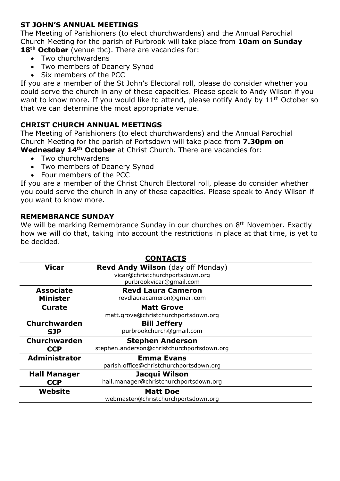### **ST JOHN'S ANNUAL MEETINGS**

The Meeting of Parishioners (to elect churchwardens) and the Annual Parochial Church Meeting for the parish of Purbrook will take place from **10am on Sunday**  18<sup>th</sup> October (venue tbc). There are vacancies for:

- Two churchwardens
- Two members of Deanery Synod
- Six members of the PCC

If you are a member of the St John's Electoral roll, please do consider whether you could serve the church in any of these capacities. Please speak to Andy Wilson if you want to know more. If you would like to attend, please notify Andy by 11<sup>th</sup> October so that we can determine the most appropriate venue.

#### **CHRIST CHURCH ANNUAL MEETINGS**

The Meeting of Parishioners (to elect churchwardens) and the Annual Parochial Church Meeting for the parish of Portsdown will take place from **7.30pm on** 

**Wednesday 14th October** at Christ Church. There are vacancies for:

- Two churchwardens
- Two members of Deanery Synod
- Four members of the PCC

If you are a member of the Christ Church Electoral roll, please do consider whether you could serve the church in any of these capacities. Please speak to Andy Wilson if you want to know more.

#### **REMEMBRANCE SUNDAY**

We will be marking Remembrance Sunday in our churches on 8<sup>th</sup> November. Exactly how we will do that, taking into account the restrictions in place at that time, is yet to be decided.

| <b>CONTACTS</b>     |                                            |
|---------------------|--------------------------------------------|
| <b>Vicar</b>        | <b>Revd Andy Wilson</b> (day off Monday)   |
|                     | vicar@christchurchportsdown.org            |
|                     | purbrookvicar@gmail.com                    |
| <b>Associate</b>    | <b>Revd Laura Cameron</b>                  |
| <b>Minister</b>     | revdlauracameron@gmail.com                 |
| <b>Curate</b>       | <b>Matt Grove</b>                          |
|                     | matt.grove@christchurchportsdown.org       |
| Churchwarden        | <b>Bill Jeffery</b>                        |
| <b>SJP</b>          | purbrookchurch@gmail.com                   |
| Churchwarden        | <b>Stephen Anderson</b>                    |
| <b>CCP</b>          | stephen.anderson@christchurchportsdown.org |
| Administrator       | <b>Emma Evans</b>                          |
|                     | parish.office@christchurchportsdown.org    |
| <b>Hall Manager</b> | Jacqui Wilson                              |
| <b>CCP</b>          | hall.manager@christchurchportsdown.org     |
| Website             | <b>Matt Doe</b>                            |
|                     | webmaster@christchurchportsdown.org        |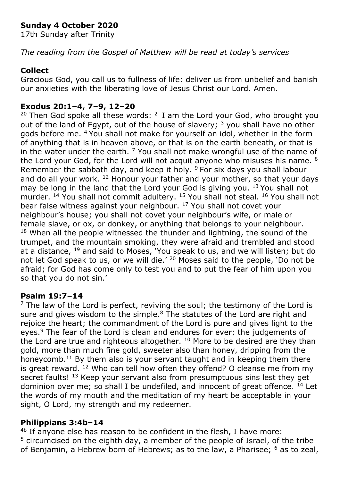# **Sunday 4 October 2020**

17th Sunday after Trinity

*The reading from the Gospel of Matthew will be read at today's services*

### **Collect**

Gracious God, you call us to fullness of life: deliver us from unbelief and banish our anxieties with the liberating love of Jesus Christ our Lord. Amen.

## **Exodus 20:1–4, 7–9, 12–20**

<sup>20</sup> Then God spoke all these words:  $2 \text{ I}$  am the Lord your God, who brought you out of the land of Egypt, out of the house of slavery;  $3$  you shall have no other gods before me. <sup>4</sup>You shall not make for yourself an idol, whether in the form of anything that is in heaven above, or that is on the earth beneath, or that is in the water under the earth.  $\frac{7}{1}$  You shall not make wrongful use of the name of the Lord your God, for the Lord will not acquit anyone who misuses his name. <sup>8</sup> Remember the sabbath day, and keep it holy.  $9$  For six days you shall labour and do all your work.  $^{12}$  Honour your father and your mother, so that your days may be long in the land that the Lord your God is giving you.  $13$  You shall not murder. <sup>14</sup> You shall not commit adultery. <sup>15</sup> You shall not steal. <sup>16</sup> You shall not bear false witness against your neighbour. <sup>17</sup> You shall not covet your neighbour's house; you shall not covet your neighbour's wife, or male or female slave, or ox, or donkey, or anything that belongs to your neighbour.  $18$  When all the people witnessed the thunder and lightning, the sound of the trumpet, and the mountain smoking, they were afraid and trembled and stood at a distance,  $19$  and said to Moses, You speak to us, and we will listen; but do not let God speak to us, or we will die.' <sup>20</sup> Moses said to the people, 'Do not be afraid; for God has come only to test you and to put the fear of him upon you so that you do not sin.'

#### **Psalm 19:7–14**

 $<sup>7</sup>$  The law of the Lord is perfect, reviving the soul; the testimony of the Lord is</sup> sure and gives wisdom to the simple.<sup>8</sup> The statutes of the Lord are right and rejoice the heart; the commandment of the Lord is pure and gives light to the eyes.<sup>9</sup> The fear of the Lord is clean and endures for ever; the judgements of the Lord are true and righteous altogether.  $10$  More to be desired are they than gold, more than much fine gold, sweeter also than honey, dripping from the honeycomb.<sup>11</sup> By them also is your servant taught and in keeping them there is great reward. <sup>12</sup> Who can tell how often they offend? O cleanse me from my secret faults! <sup>13</sup> Keep your servant also from presumptuous sins lest they get dominion over me; so shall I be undefiled, and innocent of great offence.  $^{14}$  Let the words of my mouth and the meditation of my heart be acceptable in your sight, O Lord, my strength and my redeemer.

## **Philippians 3:4b–14**

<sup>4b</sup> If anyone else has reason to be confident in the flesh, I have more: <sup>5</sup> circumcised on the eighth day, a member of the people of Israel, of the tribe of Benjamin, a Hebrew born of Hebrews; as to the law, a Pharisee;  $6$  as to zeal,